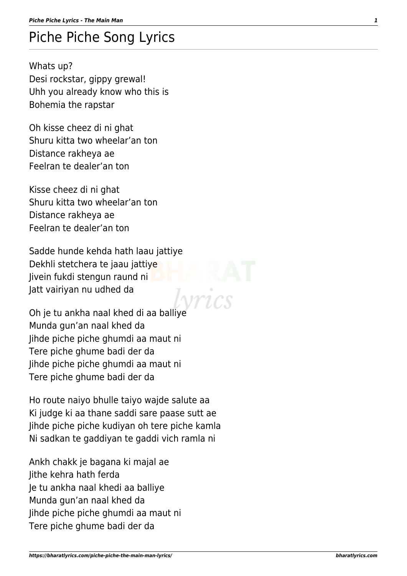## Piche Piche Song Lyrics

Whats up? Desi rockstar, gippy grewal! Uhh you already know who this is Bohemia the rapstar

Oh kisse cheez di ni ghat Shuru kitta two wheelar'an ton Distance rakheya ae Feelran te dealer'an ton

Kisse cheez di ni ghat Shuru kitta two wheelar'an ton Distance rakheya ae Feelran te dealer'an ton

Sadde hunde kehda hath laau jattiye Dekhli stetchera te jaau jattiye Jivein fukdi stengun raund ni Jatt vairiyan nu udhed da

Oh je tu ankha naal khed di aa balliye Munda gun'an naal khed da Jihde piche piche ghumdi aa maut ni Tere piche ghume badi der da Jihde piche piche ghumdi aa maut ni Tere piche ghume badi der da

Ho route naiyo bhulle taiyo wajde salute aa Ki judge ki aa thane saddi sare paase sutt ae Jihde piche piche kudiyan oh tere piche kamla Ni sadkan te gaddiyan te gaddi vich ramla ni

Ankh chakk je bagana ki majal ae Jithe kehra hath ferda Je tu ankha naal khedi aa balliye Munda gun'an naal khed da Jihde piche piche ghumdi aa maut ni Tere piche ghume badi der da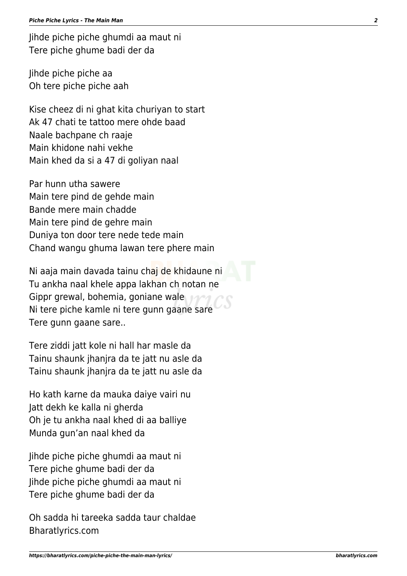Jihde piche piche ghumdi aa maut ni Tere piche ghume badi der da

Jihde piche piche aa Oh tere piche piche aah

Kise cheez di ni ghat kita churiyan to start Ak 47 chati te tattoo mere ohde baad Naale bachpane ch raaje Main khidone nahi vekhe Main khed da si a 47 di goliyan naal

Par hunn utha sawere Main tere pind de gehde main Bande mere main chadde Main tere pind de gehre main Duniya ton door tere nede tede main Chand wangu ghuma lawan tere phere main

Ni aaja main davada tainu chaj de khidaune ni Tu ankha naal khele appa lakhan ch notan ne Gippr grewal, bohemia, goniane wale Ni tere piche kamle ni tere gunn gaane sare Tere gunn gaane sare..

Tere ziddi jatt kole ni hall har masle da Tainu shaunk jhanjra da te jatt nu asle da Tainu shaunk jhanjra da te jatt nu asle da

Ho kath karne da mauka daiye vairi nu Jatt dekh ke kalla ni gherda Oh je tu ankha naal khed di aa balliye Munda gun'an naal khed da

Jihde piche piche ghumdi aa maut ni Tere piche ghume badi der da Jihde piche piche ghumdi aa maut ni Tere piche ghume badi der da

Oh sadda hi tareeka sadda taur chaldae Bharatlyrics.com